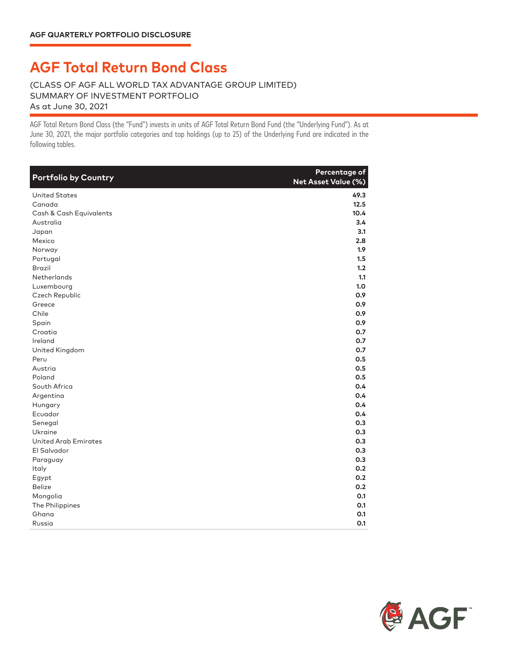## **AGF Total Return Bond Class**

(CLASS OF AGF ALL WORLD TAX ADVANTAGE GROUP LIMITED) SUMMARY OF INVESTMENT PORTFOLIO As at June 30, 2021

AGF Total Return Bond Class AGF Total Return Bond Class (the "Fund") invests in units of AGF Total Return Bond Fund (the "Underlying Fund"). As at June 30, 2021, the major portfolio categories and top holdings (up to 25) of the Underlying Fund are indicated in the following tables.

| <b>Portfolio by Country</b> | Percentage of<br>Net Asset Value (%) |
|-----------------------------|--------------------------------------|
| <b>United States</b>        | 49.3                                 |
| Canada                      | 12.5                                 |
| Cash & Cash Equivalents     | 10.4                                 |
| Australia                   | 3.4                                  |
| Japan                       | 3.1                                  |
| Mexico                      | 2.8                                  |
| Norway                      | 1.9 <sup>2</sup>                     |
| Portugal                    | 1.5                                  |
| <b>Brazil</b>               | 1.2                                  |
| <b>Netherlands</b>          | 1.1                                  |
| Luxembourg                  | 1.0                                  |
| Czech Republic              | 0.9                                  |
| Greece                      | 0.9                                  |
| Chile                       | 0.9                                  |
| Spain                       | 0.9                                  |
| Croatia                     | 0.7                                  |
| Ireland                     | 0.7                                  |
| United Kingdom              | 0.7                                  |
| Peru                        | 0.5                                  |
| Austria                     | 0.5                                  |
| Poland                      | 0.5                                  |
| South Africa                | 0.4                                  |
| Argentina                   | 0.4                                  |
| Hungary                     | 0.4                                  |
| Ecuador                     | 0.4                                  |
| Senegal                     | 0.3                                  |
| Ukraine                     | 0.3                                  |
| <b>United Arab Emirates</b> | 0.3                                  |
| El Salvador                 | 0.3                                  |
| Paraguay                    | 0.3                                  |
| Italy                       | 0.2                                  |
| Egypt                       | 0.2                                  |
| <b>Belize</b>               | 0.2                                  |
| Mongolia                    | 0.1                                  |
| The Philippines             | 0.1                                  |
| Ghana                       | 0.1                                  |
| Russia                      | 0.1                                  |

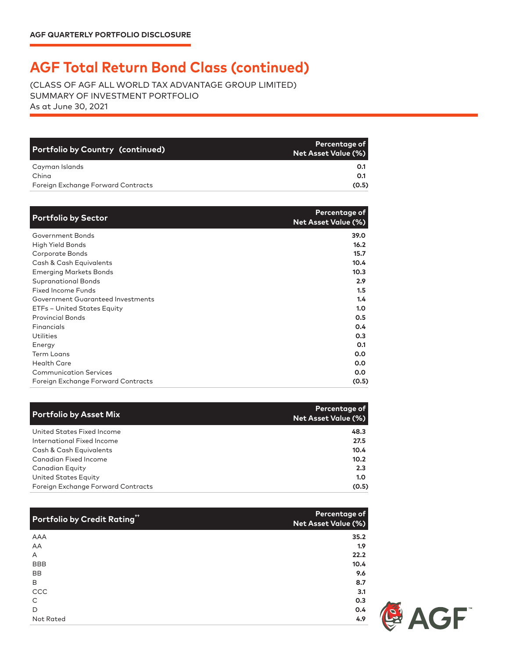## **AGF Total Return Bond Class (continued)**

(CLASS OF AGF ALL WORLD TAX ADVANTAGE GROUP LIMITED) SUMMARY OF INVESTMENT PORTFOLIO As at June 30, 2021

| Portfolio by Country (continued)   | Percentage of <b>P</b><br>Net Asset Value (%) |
|------------------------------------|-----------------------------------------------|
| Cayman Islands                     | O.1                                           |
| China                              | 0.1                                           |
| Foreign Exchange Forward Contracts | (0.5)                                         |

| <b>Portfolio by Sector</b>         | Percentage of<br><b>Net Asset Value (%)</b> |
|------------------------------------|---------------------------------------------|
| Government Bonds                   | 39.0                                        |
| High Yield Bonds                   | 16.2                                        |
| Corporate Bonds                    | 15.7                                        |
| Cash & Cash Equivalents            | 10.4                                        |
| <b>Emerging Markets Bonds</b>      | 10.3                                        |
| <b>Supranational Bonds</b>         | 2.9                                         |
| <b>Fixed Income Funds</b>          | 1.5                                         |
| Government Guaranteed Investments  | 1.4                                         |
| ETFs - United States Equity        | 1.0                                         |
| <b>Provincial Bonds</b>            | 0.5                                         |
| Financials                         | 0.4                                         |
| Utilities                          | 0.3                                         |
| Energy                             | O.1                                         |
| <b>Term Loans</b>                  | 0.0                                         |
| <b>Health Care</b>                 | 0.0                                         |
| <b>Communication Services</b>      | 0.0                                         |
| Foreign Exchange Forward Contracts | (0.5)                                       |

| <b>Portfolio by Asset Mix</b>      | <b>Percentage of</b><br><b>Net Asset Value (%)</b> |
|------------------------------------|----------------------------------------------------|
| United States Fixed Income         | 48.3                                               |
| International Fixed Income         | 27.5                                               |
| Cash & Cash Equivalents            | 10.4                                               |
| Canadian Fixed Income              | 10.2                                               |
| Canadian Equity                    | 2.3                                                |
| United States Equity               | 1.0                                                |
| Foreign Exchange Forward Contracts | (0.5)                                              |

| Portfolio by Credit Rating" | Percentage of<br><b>Net Asset Value (%)</b> |
|-----------------------------|---------------------------------------------|
| AAA                         | 35.2                                        |
| AA                          | 1.9                                         |
| A                           | 22.2                                        |
| <b>BBB</b>                  | 10.4                                        |
| <b>BB</b>                   | 9.6                                         |
| B                           | 8.7                                         |
| CCC                         | 3.1                                         |
| C                           | 0.3                                         |
| D                           | 0.4                                         |
| Not Rated                   | 4.9                                         |